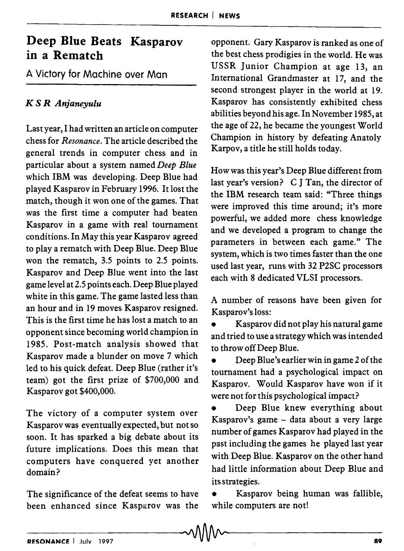# **Deep Blue Beats Kasparov in a Rematch**

A Victory for Machine over Man

# *K* S *R Anjaneyulu*

Last year, I had written an article on computer chess for *Resonance.* The article described the general trends in computer chess and in particular about a system named *Deep Blue*  which IBM was developing. Deep Blue had played Kasparov in February 1996. It lost the match, though it won one of the games. That was the first time a computer had beaten Kasparov in a game with real tournament conditions. In May this year Kasparov agreed to playa rematch with Deep Blue. Deep Blue won the rematch, 3.5 points to 2.5 points. Kasparov and Deep Blue went into the last game level at 2.5 points each. Deep Blue played white in this game. The game lasted less than an hour and in 19 moves Kasparov resigned. This is the first time he has lost a match to an opponent since becoming world champion in 1985. Post-match analysis showed that Kasparov made a blunder on move 7 which led to his quick defeat. Deep Blue (rather it's team) got the first prize of \$700,000 and Kasparov got \$400,000.

The victory of a computer system over Kasparov was eventually expected, but not so soon. It has sparked a big debate about its future implications. Does this mean that computers have conquered yet another domain?

The significance of the defeat seems to have been enhanced since Kasparov was the

opponent. Gary Kasparov is ranked as one of the best chess prodigies in the world. He was USSR Junior Champion at age 13, an International Grandmaster at 17, and the second strongest player in the world at 19. Kasparov has consistently exhibited chess abilities beyond his age. In November 1985, at the age of 22, he became the youngest World Champion in history by defeating Anatoly Karpov, a title he still holds today.

How was this year's Deep Blue different from last year's version? C J Tan, the director of the IBM research team said: "Three things were improved this time around; it's more powerful, we added more chess knowledge and we developed a program to change the parameters in between each game." The system, which is two times faster than the one used last year, runs with 32 P2SC processors each with 8 dedicated VLSI processors.

A number of reasons have been given for Kasparov's loss:

• Kasparov did not play his natural game and tried to use a strategy which was intended to throw off Deep Blue.

• Deep Blue's earlier win in game 2 of the tournament had a psychological impact on Kasparov. Would Kasparov have won if it were not for this psychological impact?

Deep Blue knew everything about Kasparov's game - data about a very large number of games Kasparov had played in the past including the games he played last year with Deep Blue. Kasparov on the other hand had little information about Deep Blue and its strategies.

• Kasparov being human was fallible, while computers are not!